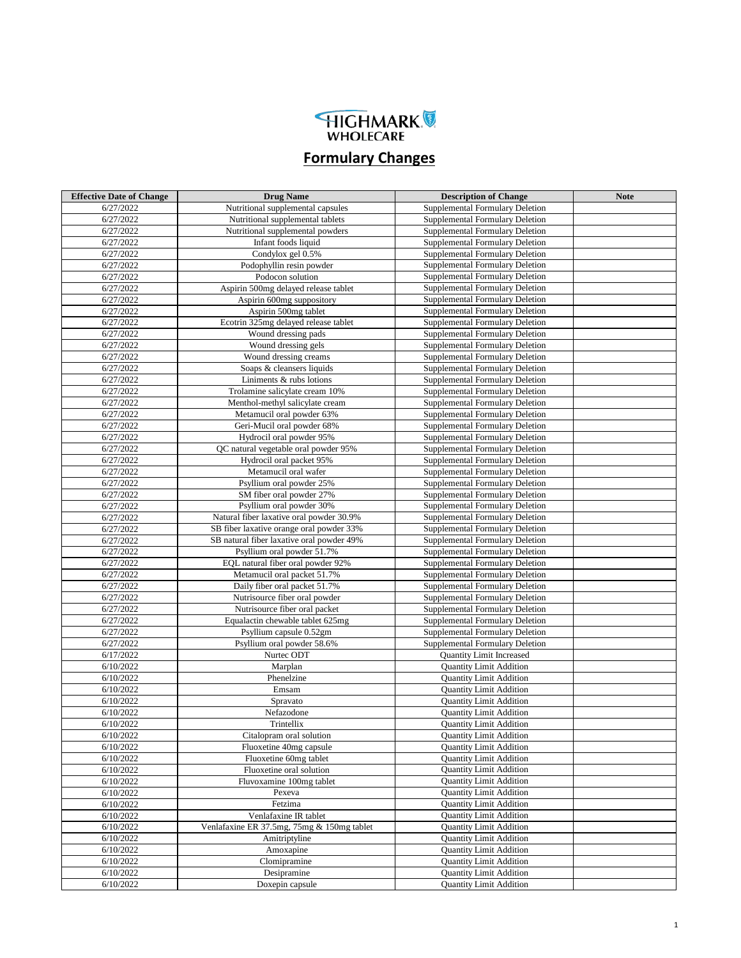

## **Formulary Changes**

| <b>Effective Date of Change</b> | <b>Drug Name</b>                                                | <b>Description of Change</b>                                       | <b>Note</b> |
|---------------------------------|-----------------------------------------------------------------|--------------------------------------------------------------------|-------------|
| 6/27/2022                       | Nutritional supplemental capsules                               | Supplemental Formulary Deletion                                    |             |
| 6/27/2022                       | Nutritional supplemental tablets                                | Supplemental Formulary Deletion                                    |             |
| 6/27/2022                       | Nutritional supplemental powders                                | Supplemental Formulary Deletion                                    |             |
| 6/27/2022                       | Infant foods liquid                                             | Supplemental Formulary Deletion                                    |             |
| 6/27/2022                       | Condylox gel 0.5%                                               | Supplemental Formulary Deletion                                    |             |
| 6/27/2022                       | Podophyllin resin powder                                        | Supplemental Formulary Deletion                                    |             |
| 6/27/2022                       | Podocon solution                                                | Supplemental Formulary Deletion                                    |             |
| 6/27/2022                       | Aspirin 500mg delayed release tablet                            | Supplemental Formulary Deletion                                    |             |
| 6/27/2022                       | Aspirin 600mg suppository                                       | Supplemental Formulary Deletion                                    |             |
| 6/27/2022                       | Aspirin 500mg tablet                                            | Supplemental Formulary Deletion                                    |             |
| 6/27/2022                       | Ecotrin 325mg delayed release tablet                            | Supplemental Formulary Deletion                                    |             |
| 6/27/2022                       | Wound dressing pads                                             | Supplemental Formulary Deletion                                    |             |
| 6/27/2022                       | Wound dressing gels                                             | Supplemental Formulary Deletion                                    |             |
| 6/27/2022                       | Wound dressing creams                                           | Supplemental Formulary Deletion                                    |             |
| 6/27/2022                       | Soaps & cleansers liquids                                       | Supplemental Formulary Deletion                                    |             |
| 6/27/2022                       | Liniments & rubs lotions                                        | Supplemental Formulary Deletion                                    |             |
| 6/27/2022                       | Trolamine salicylate cream 10%                                  | Supplemental Formulary Deletion                                    |             |
| 6/27/2022                       | Menthol-methyl salicylate cream                                 | Supplemental Formulary Deletion                                    |             |
| 6/27/2022                       | Metamucil oral powder 63%                                       | Supplemental Formulary Deletion                                    |             |
| 6/27/2022                       | Geri-Mucil oral powder 68%                                      | Supplemental Formulary Deletion                                    |             |
| 6/27/2022                       | Hydrocil oral powder 95%                                        | Supplemental Formulary Deletion                                    |             |
| 6/27/2022                       | QC natural vegetable oral powder 95%                            | Supplemental Formulary Deletion                                    |             |
| 6/27/2022                       | Hydrocil oral packet 95%                                        | Supplemental Formulary Deletion                                    |             |
| 6/27/2022                       | Metamucil oral wafer                                            | Supplemental Formulary Deletion                                    |             |
| 6/27/2022                       | Psyllium oral powder 25%                                        | Supplemental Formulary Deletion                                    |             |
| 6/27/2022                       | SM fiber oral powder 27%                                        | Supplemental Formulary Deletion                                    |             |
| 6/27/2022                       | Psyllium oral powder 30%                                        | Supplemental Formulary Deletion                                    |             |
| 6/27/2022                       | Natural fiber laxative oral powder 30.9%                        | Supplemental Formulary Deletion                                    |             |
| 6/27/2022                       | SB fiber laxative orange oral powder 33%                        | Supplemental Formulary Deletion                                    |             |
| 6/27/2022                       | SB natural fiber laxative oral powder 49%                       | Supplemental Formulary Deletion                                    |             |
| 6/27/2022<br>6/27/2022          | Psyllium oral powder 51.7%<br>EQL natural fiber oral powder 92% | Supplemental Formulary Deletion<br>Supplemental Formulary Deletion |             |
| 6/27/2022                       | Metamucil oral packet 51.7%                                     | Supplemental Formulary Deletion                                    |             |
| 6/27/2022                       | Daily fiber oral packet 51.7%                                   | Supplemental Formulary Deletion                                    |             |
| 6/27/2022                       | Nutrisource fiber oral powder                                   | Supplemental Formulary Deletion                                    |             |
| 6/27/2022                       | Nutrisource fiber oral packet                                   | Supplemental Formulary Deletion                                    |             |
| 6/27/2022                       | Equalactin chewable tablet 625mg                                | Supplemental Formulary Deletion                                    |             |
| 6/27/2022                       | Psyllium capsule 0.52gm                                         | Supplemental Formulary Deletion                                    |             |
| 6/27/2022                       | Psyllium oral powder 58.6%                                      | Supplemental Formulary Deletion                                    |             |
| 6/17/2022                       | Nurtec ODT                                                      | <b>Quantity Limit Increased</b>                                    |             |
| 6/10/2022                       | Marplan                                                         | <b>Quantity Limit Addition</b>                                     |             |
| 6/10/2022                       | Phenelzine                                                      | <b>Quantity Limit Addition</b>                                     |             |
| 6/10/2022                       | Emsam                                                           | <b>Quantity Limit Addition</b>                                     |             |
| 6/10/2022                       | Spravato                                                        | <b>Quantity Limit Addition</b>                                     |             |
| 6/10/2022                       | Nefazodone                                                      | <b>Quantity Limit Addition</b>                                     |             |
| 6/10/2022                       | Trintellix                                                      | <b>Quantity Limit Addition</b>                                     |             |
| 6/10/2022                       | Citalopram oral solution                                        | <b>Quantity Limit Addition</b>                                     |             |
| 6/10/2022                       | Fluoxetine 40mg capsule                                         | <b>Quantity Limit Addition</b>                                     |             |
| 6/10/2022                       | Fluoxetine 60mg tablet                                          | <b>Quantity Limit Addition</b>                                     |             |
| 6/10/2022                       | Fluoxetine oral solution                                        | <b>Quantity Limit Addition</b>                                     |             |
| 6/10/2022                       | Fluvoxamine 100mg tablet                                        | <b>Ouantity Limit Addition</b>                                     |             |
| 6/10/2022                       | Pexeva                                                          | <b>Quantity Limit Addition</b>                                     |             |
| 6/10/2022                       | Fetzima                                                         | <b>Quantity Limit Addition</b>                                     |             |
| 6/10/2022                       | Venlafaxine IR tablet                                           | <b>Quantity Limit Addition</b>                                     |             |
| 6/10/2022                       | Venlafaxine ER 37.5mg, 75mg & 150mg tablet                      | <b>Quantity Limit Addition</b>                                     |             |
| 6/10/2022                       | Amitriptyline                                                   | <b>Quantity Limit Addition</b>                                     |             |
| 6/10/2022                       | Amoxapine                                                       | <b>Quantity Limit Addition</b>                                     |             |
| 6/10/2022<br>6/10/2022          | Clomipramine                                                    | <b>Quantity Limit Addition</b>                                     |             |
| 6/10/2022                       | Desipramine                                                     | <b>Quantity Limit Addition</b><br><b>Quantity Limit Addition</b>   |             |
|                                 | Doxepin capsule                                                 |                                                                    |             |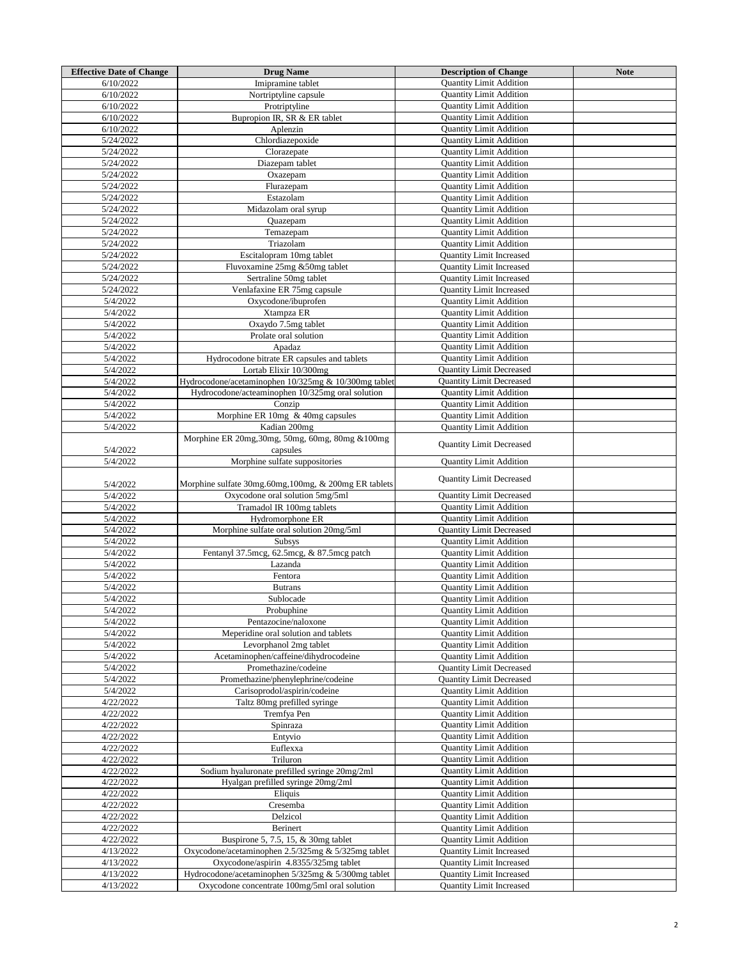| <b>Effective Date of Change</b> | <b>Drug Name</b>                                     | <b>Description of Change</b>    | <b>Note</b> |
|---------------------------------|------------------------------------------------------|---------------------------------|-------------|
| 6/10/2022                       | Imipramine tablet                                    | <b>Quantity Limit Addition</b>  |             |
| 6/10/2022                       | Nortriptyline capsule                                | <b>Quantity Limit Addition</b>  |             |
| 6/10/2022                       | Protriptyline                                        | <b>Quantity Limit Addition</b>  |             |
|                                 |                                                      |                                 |             |
| 6/10/2022                       | Bupropion IR, SR & ER tablet                         | <b>Quantity Limit Addition</b>  |             |
| 6/10/2022                       | Aplenzin                                             | <b>Quantity Limit Addition</b>  |             |
| 5/24/2022                       | Chlordiazepoxide                                     | <b>Quantity Limit Addition</b>  |             |
| 5/24/2022                       | Clorazepate                                          | <b>Quantity Limit Addition</b>  |             |
| 5/24/2022                       | Diazepam tablet                                      | <b>Quantity Limit Addition</b>  |             |
| 5/24/2022                       | Oxazepam                                             | <b>Quantity Limit Addition</b>  |             |
| 5/24/2022                       | Flurazepam                                           | <b>Quantity Limit Addition</b>  |             |
| 5/24/2022                       | Estazolam                                            | <b>Quantity Limit Addition</b>  |             |
| 5/24/2022                       | Midazolam oral syrup                                 | <b>Quantity Limit Addition</b>  |             |
| 5/24/2022                       | Quazepam                                             | <b>Quantity Limit Addition</b>  |             |
| 5/24/2022                       | Temazepam                                            | <b>Quantity Limit Addition</b>  |             |
| 5/24/2022                       | Triazolam                                            | <b>Quantity Limit Addition</b>  |             |
|                                 |                                                      |                                 |             |
| 5/24/2022                       | Escitalopram 10mg tablet                             | <b>Quantity Limit Increased</b> |             |
| 5/24/2022                       | Fluvoxamine 25mg &50mg tablet                        | <b>Quantity Limit Increased</b> |             |
| 5/24/2022                       | Sertraline 50mg tablet                               | Quantity Limit Increased        |             |
| 5/24/2022                       | Venlafaxine ER 75mg capsule                          | <b>Quantity Limit Increased</b> |             |
| 5/4/2022                        | Oxycodone/ibuprofen                                  | <b>Quantity Limit Addition</b>  |             |
| 5/4/2022                        | Xtampza ER                                           | <b>Quantity Limit Addition</b>  |             |
| 5/4/2022                        | Oxaydo 7.5mg tablet                                  | <b>Quantity Limit Addition</b>  |             |
| 5/4/2022                        | Prolate oral solution                                | <b>Quantity Limit Addition</b>  |             |
| 5/4/2022                        | Apadaz                                               | <b>Quantity Limit Addition</b>  |             |
| 5/4/2022                        | Hydrocodone bitrate ER capsules and tablets          | <b>Quantity Limit Addition</b>  |             |
| 5/4/2022                        | Lortab Elixir 10/300mg                               | <b>Quantity Limit Decreased</b> |             |
| 5/4/2022                        | Hydrocodone/acetaminophen 10/325mg & 10/300mg tablet | <b>Quantity Limit Decreased</b> |             |
| 5/4/2022                        |                                                      |                                 |             |
|                                 | Hydrocodone/acteaminophen 10/325mg oral solution     | <b>Quantity Limit Addition</b>  |             |
| 5/4/2022                        | Conzip                                               | <b>Quantity Limit Addition</b>  |             |
| 5/4/2022                        | Morphine ER 10mg & 40mg capsules                     | <b>Quantity Limit Addition</b>  |             |
| 5/4/2022                        | Kadian 200mg                                         | <b>Quantity Limit Addition</b>  |             |
|                                 | Morphine ER 20mg, 30mg, 50mg, 60mg, 80mg & 100mg     | <b>Quantity Limit Decreased</b> |             |
| 5/4/2022                        | capsules                                             |                                 |             |
| 5/4/2022                        | Morphine sulfate suppositories                       | <b>Quantity Limit Addition</b>  |             |
|                                 |                                                      |                                 |             |
| 5/4/2022                        | Morphine sulfate 30mg.60mg,100mg, & 200mg ER tablets | <b>Quantity Limit Decreased</b> |             |
| 5/4/2022                        | Oxycodone oral solution 5mg/5ml                      | <b>Quantity Limit Decreased</b> |             |
| 5/4/2022                        | Tramadol IR 100mg tablets                            | <b>Quantity Limit Addition</b>  |             |
|                                 |                                                      |                                 |             |
| 5/4/2022                        | Hydromorphone ER                                     | <b>Quantity Limit Addition</b>  |             |
| 5/4/2022                        | Morphine sulfate oral solution 20mg/5ml              | <b>Ouantity Limit Decreased</b> |             |
| 5/4/2022                        | <b>Subsys</b>                                        | <b>Quantity Limit Addition</b>  |             |
| 5/4/2022                        | Fentanyl 37.5mcg, 62.5mcg, & 87.5mcg patch           | <b>Quantity Limit Addition</b>  |             |
| 5/4/2022                        | Lazanda                                              | <b>Quantity Limit Addition</b>  |             |
| 5/4/2022                        | Fentora                                              | <b>Quantity Limit Addition</b>  |             |
| 5/4/2022                        | <b>Butrans</b>                                       | <b>Quantity Limit Addition</b>  |             |
| 5/4/2022                        | Sublocade                                            | <b>Quantity Limit Addition</b>  |             |
| 5/4/2022                        | Probuphine                                           | <b>Quantity Limit Addition</b>  |             |
| 5/4/2022                        | Pentazocine/naloxone                                 | <b>Quantity Limit Addition</b>  |             |
| 5/4/2022                        | Meperidine oral solution and tablets                 | <b>Quantity Limit Addition</b>  |             |
| 5/4/2022                        | Levorphanol 2mg tablet                               | <b>Quantity Limit Addition</b>  |             |
|                                 |                                                      |                                 |             |
| 5/4/2022                        | Acetaminophen/caffeine/dihydrocodeine                | <b>Quantity Limit Addition</b>  |             |
| 5/4/2022                        | Promethazine/codeine                                 | <b>Quantity Limit Decreased</b> |             |
| 5/4/2022                        | Promethazine/phenylephrine/codeine                   | <b>Quantity Limit Decreased</b> |             |
| 5/4/2022                        | Carisoprodol/aspirin/codeine                         | <b>Quantity Limit Addition</b>  |             |
| 4/22/2022                       | Taltz 80mg prefilled syringe                         | <b>Quantity Limit Addition</b>  |             |
| 4/22/2022                       | Tremfya Pen                                          | <b>Quantity Limit Addition</b>  |             |
| 4/22/2022                       | Spinraza                                             | <b>Quantity Limit Addition</b>  |             |
| 4/22/2022                       | Entyvio                                              | <b>Quantity Limit Addition</b>  |             |
| 4/22/2022                       | Euflexxa                                             | <b>Quantity Limit Addition</b>  |             |
| 4/22/2022                       | Triluron                                             | <b>Quantity Limit Addition</b>  |             |
| 4/22/2022                       | Sodium hyaluronate prefilled syringe 20mg/2ml        | <b>Quantity Limit Addition</b>  |             |
|                                 |                                                      |                                 |             |
| 4/22/2022                       | Hyalgan prefilled syringe 20mg/2ml                   | <b>Quantity Limit Addition</b>  |             |
| 4/22/2022                       | Eliquis                                              | <b>Quantity Limit Addition</b>  |             |
| 4/22/2022                       | Cresemba                                             | <b>Quantity Limit Addition</b>  |             |
| 4/22/2022                       | Delzicol                                             | <b>Quantity Limit Addition</b>  |             |
| 4/22/2022                       | Berinert                                             | <b>Quantity Limit Addition</b>  |             |
| 4/22/2022                       | Buspirone 5, 7.5, 15, & 30mg tablet                  | <b>Quantity Limit Addition</b>  |             |
| 4/13/2022                       | Oxycodone/acetaminophen 2.5/325mg & 5/325mg tablet   | <b>Quantity Limit Increased</b> |             |
| 4/13/2022                       | Oxycodone/aspirin 4.8355/325mg tablet                | <b>Quantity Limit Increased</b> |             |
|                                 | Hydrocodone/acetaminophen 5/325mg & 5/300mg tablet   | <b>Ouantity Limit Increased</b> |             |
| 4/13/2022                       |                                                      |                                 |             |
| 4/13/2022                       | Oxycodone concentrate 100mg/5ml oral solution        | <b>Quantity Limit Increased</b> |             |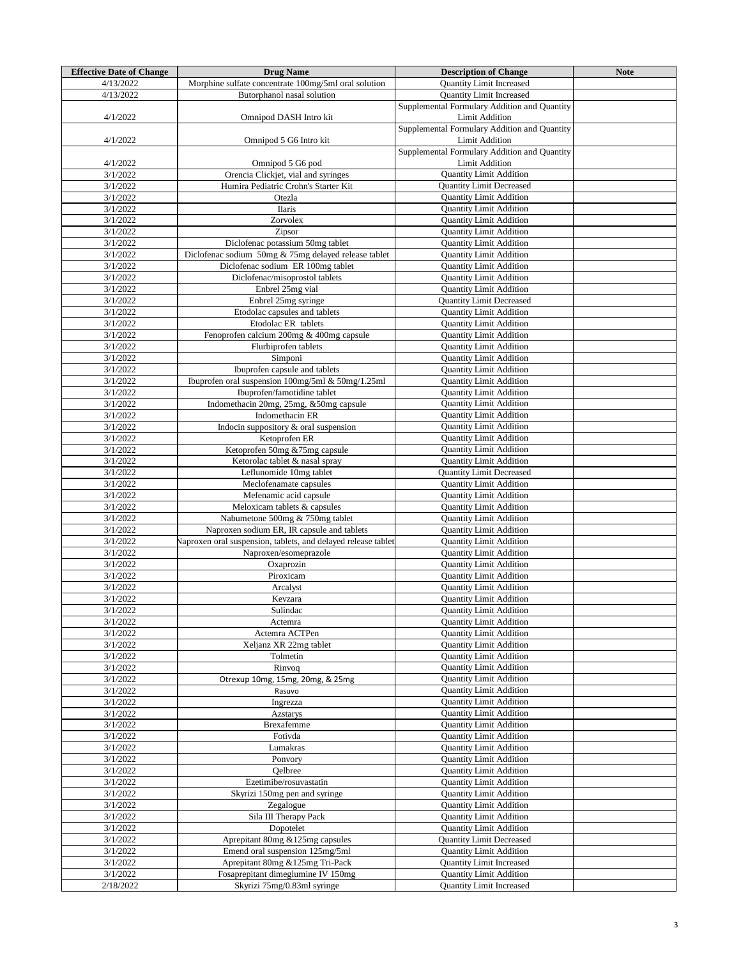| <b>Effective Date of Change</b> | <b>Drug Name</b>                                              | <b>Description of Change</b>                 | <b>Note</b> |
|---------------------------------|---------------------------------------------------------------|----------------------------------------------|-------------|
|                                 |                                                               |                                              |             |
| 4/13/2022                       | Morphine sulfate concentrate 100mg/5ml oral solution          | <b>Quantity Limit Increased</b>              |             |
| 4/13/2022                       | Butorphanol nasal solution                                    | <b>Ouantity Limit Increased</b>              |             |
|                                 |                                                               | Supplemental Formulary Addition and Quantity |             |
| 4/1/2022                        | Omnipod DASH Intro kit                                        | <b>Limit Addition</b>                        |             |
|                                 |                                                               |                                              |             |
|                                 |                                                               | Supplemental Formulary Addition and Quantity |             |
| 4/1/2022                        | Omnipod 5 G6 Intro kit                                        | <b>Limit Addition</b>                        |             |
|                                 |                                                               | Supplemental Formulary Addition and Quantity |             |
|                                 |                                                               |                                              |             |
| 4/1/2022                        | Omnipod 5 G6 pod                                              | <b>Limit Addition</b>                        |             |
| 3/1/2022                        | Orencia Clickjet, vial and syringes                           | <b>Quantity Limit Addition</b>               |             |
| 3/1/2022                        | Humira Pediatric Crohn's Starter Kit                          | <b>Quantity Limit Decreased</b>              |             |
|                                 |                                                               |                                              |             |
| 3/1/2022                        | Otezla                                                        | <b>Quantity Limit Addition</b>               |             |
| 3/1/2022                        | <b>Ilaris</b>                                                 | <b>Quantity Limit Addition</b>               |             |
| 3/1/2022                        | Zorvolex                                                      | <b>Quantity Limit Addition</b>               |             |
|                                 |                                                               |                                              |             |
| 3/1/2022                        | Zipsor                                                        | <b>Quantity Limit Addition</b>               |             |
| 3/1/2022                        | Diclofenac potassium 50mg tablet                              | <b>Quantity Limit Addition</b>               |             |
| 3/1/2022                        | Diclofenac sodium 50mg & 75mg delayed release tablet          | <b>Quantity Limit Addition</b>               |             |
| 3/1/2022                        |                                                               |                                              |             |
|                                 | Diclofenac sodium ER 100mg tablet                             | <b>Quantity Limit Addition</b>               |             |
| 3/1/2022                        | Diclofenac/misoprostol tablets                                | <b>Quantity Limit Addition</b>               |             |
| 3/1/2022                        | Enbrel 25mg vial                                              | <b>Quantity Limit Addition</b>               |             |
| 3/1/2022                        |                                                               |                                              |             |
|                                 | Enbrel 25mg syringe                                           | <b>Quantity Limit Decreased</b>              |             |
| 3/1/2022                        | Etodolac capsules and tablets                                 | <b>Quantity Limit Addition</b>               |             |
| 3/1/2022                        | Etodolac ER tablets                                           | <b>Ouantity Limit Addition</b>               |             |
| 3/1/2022                        | Fenoprofen calcium 200mg & 400mg capsule                      | <b>Quantity Limit Addition</b>               |             |
|                                 |                                                               |                                              |             |
| 3/1/2022                        | Flurbiprofen tablets                                          | <b>Quantity Limit Addition</b>               |             |
| 3/1/2022                        | Simponi                                                       | <b>Quantity Limit Addition</b>               |             |
| 3/1/2022                        | Ibuprofen capsule and tablets                                 | <b>Quantity Limit Addition</b>               |             |
|                                 |                                                               |                                              |             |
| 3/1/2022                        | Ibuprofen oral suspension 100mg/5ml & 50mg/1.25ml             | <b>Quantity Limit Addition</b>               |             |
| 3/1/2022                        | Ibuprofen/famotidine tablet                                   | <b>Quantity Limit Addition</b>               |             |
| 3/1/2022                        | Indomethacin 20mg, 25mg, &50mg capsule                        | <b>Quantity Limit Addition</b>               |             |
|                                 |                                                               |                                              |             |
| 3/1/2022                        | Indomethacin ER                                               | <b>Quantity Limit Addition</b>               |             |
| 3/1/2022                        | Indocin suppository & oral suspension                         | <b>Quantity Limit Addition</b>               |             |
| 3/1/2022                        | Ketoprofen ER                                                 | <b>Quantity Limit Addition</b>               |             |
|                                 |                                                               |                                              |             |
| 3/1/2022                        | Ketoprofen 50mg &75mg capsule                                 | <b>Quantity Limit Addition</b>               |             |
| 3/1/2022                        | Ketorolac tablet & nasal spray                                | <b>Quantity Limit Addition</b>               |             |
| 3/1/2022                        | Leflunomide 10mg tablet                                       | <b>Ouantity Limit Decreased</b>              |             |
|                                 |                                                               |                                              |             |
| 3/1/2022                        | Meclofenamate capsules                                        | <b>Quantity Limit Addition</b>               |             |
| 3/1/2022                        | Mefenamic acid capsule                                        | <b>Quantity Limit Addition</b>               |             |
| 3/1/2022                        | Meloxicam tablets & capsules                                  | <b>Quantity Limit Addition</b>               |             |
|                                 |                                                               |                                              |             |
| 3/1/2022                        | Nabumetone 500mg & 750mg tablet                               | <b>Quantity Limit Addition</b>               |             |
| 3/1/2022                        | Naproxen sodium ER, IR capsule and tablets                    | <b>Quantity Limit Addition</b>               |             |
| 3/1/2022                        | Naproxen oral suspension, tablets, and delayed release tablet | <b>Quantity Limit Addition</b>               |             |
| 3/1/2022                        | Naproxen/esomeprazole                                         | <b>Quantity Limit Addition</b>               |             |
|                                 |                                                               |                                              |             |
| 3/1/2022                        | Oxaprozin                                                     | <b>Quantity Limit Addition</b>               |             |
| 3/1/2022                        | Piroxicam                                                     | <b>Quantity Limit Addition</b>               |             |
| 3/1/2022                        | Arcalyst                                                      | <b>Quantity Limit Addition</b>               |             |
|                                 |                                                               |                                              |             |
| 3/1/2022                        | Kevzara                                                       | <b>Quantity Limit Addition</b>               |             |
| 3/1/2022                        | Sulindac                                                      | <b>Quantity Limit Addition</b>               |             |
| 3/1/2022                        | Actemra                                                       | <b>Quantity Limit Addition</b>               |             |
|                                 |                                                               |                                              |             |
| 3/1/2022                        | Actemra ACTPen                                                | <b>Quantity Limit Addition</b>               |             |
| 3/1/2022                        | Xeljanz XR 22mg tablet                                        | <b>Quantity Limit Addition</b>               |             |
| 3/1/2022                        | Tolmetin                                                      | <b>Quantity Limit Addition</b>               |             |
| 3/1/2022                        | Rinvoq                                                        | <b>Quantity Limit Addition</b>               |             |
|                                 |                                                               |                                              |             |
| 3/1/2022                        | Otrexup 10mg, 15mg, 20mg, & 25mg                              | <b>Quantity Limit Addition</b>               |             |
| 3/1/2022                        | Rasuvo                                                        | <b>Quantity Limit Addition</b>               |             |
| 3/1/2022                        | Ingrezza                                                      | <b>Quantity Limit Addition</b>               |             |
|                                 |                                                               |                                              |             |
| 3/1/2022                        | Azstarys                                                      | <b>Quantity Limit Addition</b>               |             |
| 3/1/2022                        | <b>Brexafemme</b>                                             | <b>Quantity Limit Addition</b>               |             |
| 3/1/2022                        | Fotivda                                                       | <b>Quantity Limit Addition</b>               |             |
| 3/1/2022                        | Lumakras                                                      | <b>Quantity Limit Addition</b>               |             |
|                                 |                                                               |                                              |             |
| 3/1/2022                        | Ponvory                                                       | <b>Quantity Limit Addition</b>               |             |
| 3/1/2022                        | Qelbree                                                       | <b>Quantity Limit Addition</b>               |             |
| 3/1/2022                        | Ezetimibe/rosuvastatin                                        | <b>Quantity Limit Addition</b>               |             |
|                                 |                                                               |                                              |             |
| 3/1/2022                        | Skyrizi 150mg pen and syringe                                 | <b>Quantity Limit Addition</b>               |             |
| 3/1/2022                        | Zegalogue                                                     | <b>Quantity Limit Addition</b>               |             |
| 3/1/2022                        | Sila III Therapy Pack                                         | <b>Quantity Limit Addition</b>               |             |
|                                 |                                                               |                                              |             |
| 3/1/2022                        | Dopotelet                                                     | <b>Quantity Limit Addition</b>               |             |
| 3/1/2022                        | Aprepitant 80mg & 125mg capsules                              | <b>Quantity Limit Decreased</b>              |             |
| 3/1/2022                        | Emend oral suspension 125mg/5ml                               | <b>Quantity Limit Addition</b>               |             |
|                                 |                                                               |                                              |             |
| 3/1/2022                        | Aprepitant 80mg & 125mg Tri-Pack                              | <b>Quantity Limit Increased</b>              |             |
| 3/1/2022                        | Fosaprepitant dimeglumine IV 150mg                            | <b>Quantity Limit Addition</b>               |             |
| 2/18/2022                       | Skyrizi 75mg/0.83ml syringe                                   | <b>Quantity Limit Increased</b>              |             |
|                                 |                                                               |                                              |             |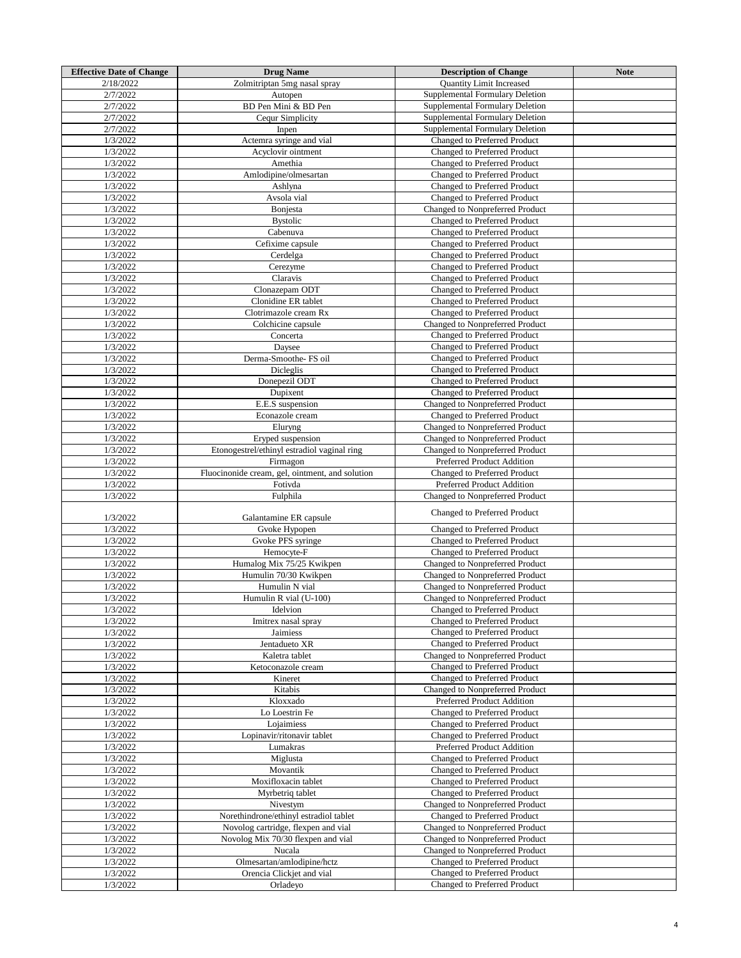| <b>Effective Date of Change</b> | <b>Drug Name</b>                                | <b>Description of Change</b>    | <b>Note</b> |
|---------------------------------|-------------------------------------------------|---------------------------------|-------------|
| 2/18/2022                       | Zolmitriptan 5mg nasal spray                    | <b>Ouantity Limit Increased</b> |             |
| 2/7/2022                        | Autopen                                         | Supplemental Formulary Deletion |             |
| 2/7/2022                        | BD Pen Mini & BD Pen                            | Supplemental Formulary Deletion |             |
| 2/7/2022                        | Cequr Simplicity                                | Supplemental Formulary Deletion |             |
| 2/7/2022                        | Inpen                                           | Supplemental Formulary Deletion |             |
| 1/3/2022                        | Actemra syringe and vial                        | Changed to Preferred Product    |             |
| 1/3/2022                        | Acyclovir ointment                              | Changed to Preferred Product    |             |
| 1/3/2022                        | Amethia                                         | Changed to Preferred Product    |             |
| 1/3/2022                        | Amlodipine/olmesartan                           | Changed to Preferred Product    |             |
|                                 | Ashlyna                                         |                                 |             |
| 1/3/2022                        |                                                 | Changed to Preferred Product    |             |
| 1/3/2022                        | Avsola vial                                     | Changed to Preferred Product    |             |
| 1/3/2022                        | Bonjesta                                        | Changed to Nonpreferred Product |             |
| 1/3/2022                        | <b>Bystolic</b>                                 | Changed to Preferred Product    |             |
| 1/3/2022                        | Cabenuva                                        | Changed to Preferred Product    |             |
| 1/3/2022                        | Cefixime capsule                                | Changed to Preferred Product    |             |
| 1/3/2022                        | Cerdelga                                        | Changed to Preferred Product    |             |
| 1/3/2022                        | Cerezyme                                        | Changed to Preferred Product    |             |
| 1/3/2022                        | Claravis                                        | Changed to Preferred Product    |             |
| 1/3/2022                        | Clonazepam ODT                                  | Changed to Preferred Product    |             |
| 1/3/2022                        | Clonidine ER tablet                             | Changed to Preferred Product    |             |
| 1/3/2022                        | Clotrimazole cream Rx                           | Changed to Preferred Product    |             |
| 1/3/2022                        | Colchicine capsule                              | Changed to Nonpreferred Product |             |
| 1/3/2022                        | Concerta                                        | Changed to Preferred Product    |             |
| 1/3/2022                        | Daysee                                          | Changed to Preferred Product    |             |
| 1/3/2022                        | Derma-Smoothe-FS oil                            | Changed to Preferred Product    |             |
| 1/3/2022                        | Dicleglis                                       | Changed to Preferred Product    |             |
| 1/3/2022                        | Donepezil ODT                                   | Changed to Preferred Product    |             |
| 1/3/2022                        | Dupixent                                        | Changed to Preferred Product    |             |
| 1/3/2022                        | E.E.S suspension                                | Changed to Nonpreferred Product |             |
| 1/3/2022                        | Econazole cream                                 | Changed to Preferred Product    |             |
| 1/3/2022                        | Eluryng                                         | Changed to Nonpreferred Product |             |
| 1/3/2022                        | Eryped suspension                               | Changed to Nonpreferred Product |             |
| 1/3/2022                        | Etonogestrel/ethinyl estradiol vaginal ring     | Changed to Nonpreferred Product |             |
| 1/3/2022                        | Firmagon                                        | Preferred Product Addition      |             |
| 1/3/2022                        | Fluocinonide cream, gel, ointment, and solution | Changed to Preferred Product    |             |
| 1/3/2022                        | Fotivda                                         | Preferred Product Addition      |             |
| 1/3/2022                        | Fulphila                                        | Changed to Nonpreferred Product |             |
|                                 |                                                 |                                 |             |
| 1/3/2022                        | Galantamine ER capsule                          | Changed to Preferred Product    |             |
| 1/3/2022                        | Gvoke Hypopen                                   | Changed to Preferred Product    |             |
| 1/3/2022                        | Gvoke PFS syringe                               | Changed to Preferred Product    |             |
|                                 |                                                 | Changed to Preferred Product    |             |
| 1/3/2022                        | Hemocyte-F                                      |                                 |             |
| 1/3/2022                        | Humalog Mix 75/25 Kwikpen                       | Changed to Nonpreferred Product |             |
| 1/3/2022                        | Humulin 70/30 Kwikpen                           | Changed to Nonpreferred Product |             |
| 1/3/2022                        | Humulin N vial                                  | Changed to Nonpreferred Product |             |
| 1/3/2022                        | Humulin R vial (U-100)                          | Changed to Nonpreferred Product |             |
| 1/3/2022                        | Idelvion                                        | Changed to Preferred Product    |             |
| 1/3/2022                        | Imitrex nasal spray                             | Changed to Preferred Product    |             |
| 1/3/2022                        | Jaimiess                                        | Changed to Preferred Product    |             |
| 1/3/2022                        | Jentadueto XR                                   | Changed to Preferred Product    |             |
| 1/3/2022                        | Kaletra tablet                                  | Changed to Nonpreferred Product |             |
| 1/3/2022                        | Ketoconazole cream                              | Changed to Preferred Product    |             |
| 1/3/2022                        | Kineret                                         | Changed to Preferred Product    |             |
| 1/3/2022                        | Kitabis                                         | Changed to Nonpreferred Product |             |
| 1/3/2022                        | Kloxxado                                        | Preferred Product Addition      |             |
| 1/3/2022                        | Lo Loestrin Fe                                  | Changed to Preferred Product    |             |
| 1/3/2022                        | Lojaimiess                                      | Changed to Preferred Product    |             |
| 1/3/2022                        | Lopinavir/ritonavir tablet                      | Changed to Preferred Product    |             |
| 1/3/2022                        | Lumakras                                        | Preferred Product Addition      |             |
| 1/3/2022                        | Miglusta                                        | Changed to Preferred Product    |             |
| 1/3/2022                        | Movantik                                        | Changed to Preferred Product    |             |
| 1/3/2022                        | Moxifloxacin tablet                             | Changed to Preferred Product    |             |
| 1/3/2022                        | Myrbetriq tablet                                | Changed to Preferred Product    |             |
| 1/3/2022                        | Nivestym                                        | Changed to Nonpreferred Product |             |
| 1/3/2022                        | Norethindrone/ethinyl estradiol tablet          | Changed to Preferred Product    |             |
| 1/3/2022                        | Novolog cartridge, flexpen and vial             | Changed to Nonpreferred Product |             |
| 1/3/2022                        | Novolog Mix 70/30 flexpen and vial              | Changed to Nonpreferred Product |             |
| 1/3/2022                        | Nucala                                          | Changed to Nonpreferred Product |             |
| 1/3/2022                        | Olmesartan/amlodipine/hctz                      | Changed to Preferred Product    |             |
| 1/3/2022                        | Orencia Clickjet and vial                       | Changed to Preferred Product    |             |
| 1/3/2022                        | Orladeyo                                        | Changed to Preferred Product    |             |
|                                 |                                                 |                                 |             |